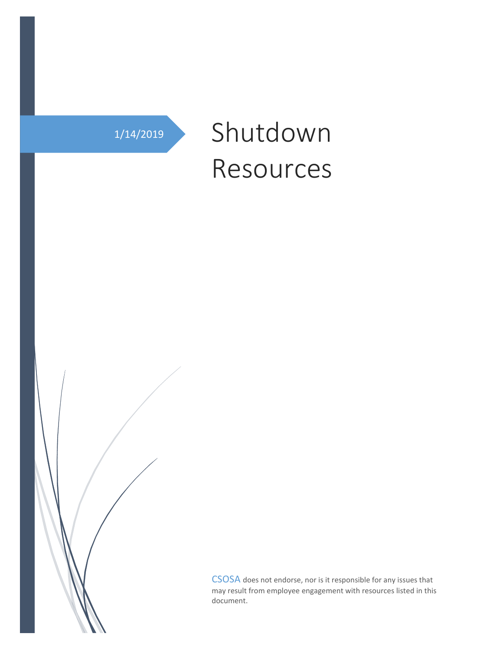# 1/14/2019 Shutdown Resources

CSOSA does not endorse, nor is it responsible for any issues that may result from employee engagement with resources listed in this document.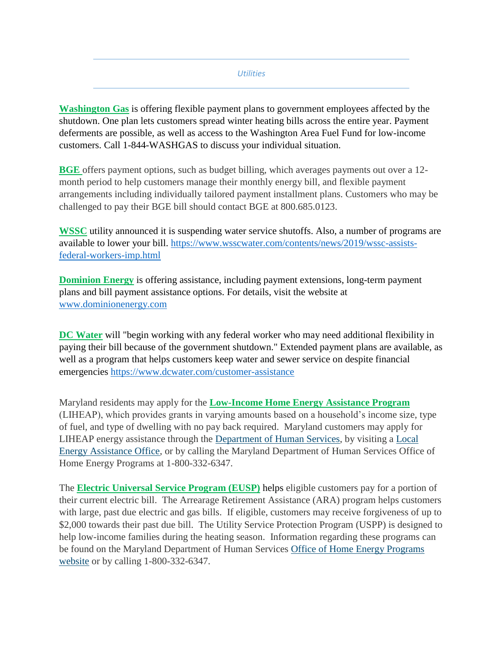#### *Utilities*

**Washington Gas** is offering flexible payment plans to government employees affected by the shutdown. One plan lets customers spread winter heating bills across the entire year. Payment deferments are possible, as well as access to the Washington Area Fuel Fund for low-income customers. Call 1-844-WASHGAS to discuss your individual situation.

**BGE** offers payment options, such as budget billing, which averages payments out over a 12 month period to help customers manage their monthly energy bill, and flexible payment arrangements including individually tailored payment installment plans. Customers who may be challenged to pay their BGE bill should contact BGE at 800.685.0123.

**WSSC** utility announced it is suspending water service shutoffs. Also, a number of programs are available to lower your bill. [https://www.wsscwater.com/contents/news/2019/wssc-assists](https://www.wsscwater.com/contents/news/2019/wssc-assists-federal-workers-imp.html)[federal-workers-imp.html](https://www.wsscwater.com/contents/news/2019/wssc-assists-federal-workers-imp.html)

**Dominion Energy** is offering assistance, including payment extensions, long-term payment plans and bill payment assistance options. For details, visit the website at [www.dominionenergy.com](http://www.dominionenergy.com/)

**DC Water** will "begin working with any federal worker who may need additional flexibility in paying their bill because of the government shutdown." Extended payment plans are available, as well as a program that helps customers keep water and sewer service on despite financial emergencies <https://www.dcwater.com/customer-assistance>

Maryland residents may apply for the **Low-Income Home Energy Assistance Program** (LIHEAP), which provides grants in varying amounts based on a household's income size, type of fuel, and type of dwelling with no pay back required. Maryland customers may apply for LIHEAP energy assistance through the [Department of Human Services,](http://dhr.maryland.gov/office-of-home-energy-programs/) by visiting a [Local](http://dhr.maryland.gov/office-of-home-energy-programs/local-home-energy-program-office/#prince)  [Energy Assistance Office,](http://dhr.maryland.gov/office-of-home-energy-programs/local-home-energy-program-office/#prince) or by calling the Maryland Department of Human Services Office of Home Energy Programs at 1-800-332-6347.

The **Electric Universal Service Program (EUSP)** helps eligible customers pay for a portion of their current electric bill. The Arrearage Retirement Assistance (ARA) program helps customers with large, past due electric and gas bills. If eligible, customers may receive forgiveness of up to \$2,000 towards their past due bill. The Utility Service Protection Program (USPP) is designed to help low-income families during the heating season. Information regarding these programs can be found on the Maryland Department of Human Services [Office of Home Energy Programs](http://dhr.maryland.gov/office-of-home-energy-programs/local-home-energy-program-office/#prince)  [website](http://dhr.maryland.gov/office-of-home-energy-programs/local-home-energy-program-office/#prince) or by calling 1-800-332-6347.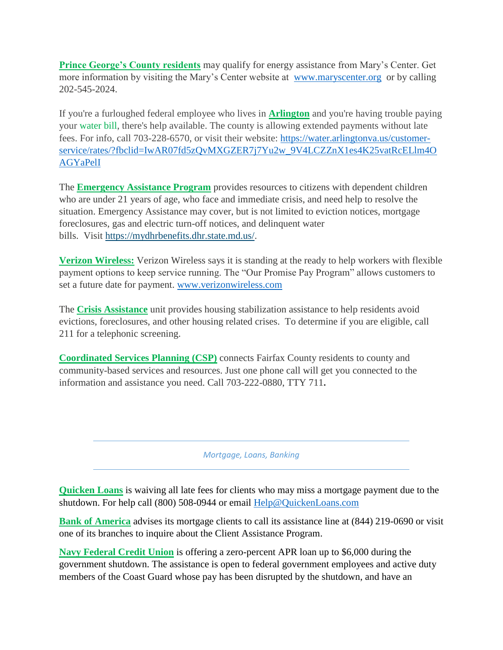**Prince George's County residents** may qualify for energy assistance from Mary's Center. Get more information by visiting the Mary's Center website at [www.maryscenter.org](http://www.maryscenter.org/) or by calling 202-545-2024.

If you're a furloughed federal employee who lives in **Arlington** and you're having trouble paying your water bill, there's help available. The county is allowing extended payments without late fees. For info, call 703-228-6570, or visit their website: [https://water.arlingtonva.us/customer](https://water.arlingtonva.us/customer-service/rates/?fbclid=IwAR07fd5zQvMXGZER7j7Yu2w_9V4LCZZnX1es4K25vatRcELlm4OAGYaPelI)[service/rates/?fbclid=IwAR07fd5zQvMXGZER7j7Yu2w\\_9V4LCZZnX1es4K25vatRcELlm4O](https://water.arlingtonva.us/customer-service/rates/?fbclid=IwAR07fd5zQvMXGZER7j7Yu2w_9V4LCZZnX1es4K25vatRcELlm4OAGYaPelI) [AGYaPelI](https://water.arlingtonva.us/customer-service/rates/?fbclid=IwAR07fd5zQvMXGZER7j7Yu2w_9V4LCZZnX1es4K25vatRcELlm4OAGYaPelI)

The **Emergency Assistance Program** provides resources to citizens with dependent children who are under 21 years of age, who face and immediate crisis, and need help to resolve the situation. Emergency Assistance may cover, but is not limited to eviction notices, mortgage foreclosures, gas and electric turn-off notices, and delinquent water bills. Visit [https://mydhrbenefits.dhr.state.md.us/.](https://mydhrbenefits.dhr.state.md.us/)

**Verizon Wireless:** Verizon Wireless says it is standing at the ready to help workers with flexible payment options to keep service running. The "Our Promise Pay Program" allows customers to set a future date for payment. [www.verizonwireless.com](http://www.verizonwireless.com/)

The **Crisis Assistance** unit provides housing stabilization assistance to help residents avoid evictions, foreclosures, and other housing related crises. To determine if you are eligible, call 211 for a telephonic screening.

**Coordinated Services Planning (CSP)** connects Fairfax County residents to county and community-based services and resources. Just one phone call will get you connected to the information and assistance you need. Call 703-222-0880, TTY 711**.**

*Mortgage, Loans, Banking*

**Quicken Loans** is waiving all late fees for clients who may miss a mortgage payment due to the shutdown. For help call (800) 508-0944 or email [Help@QuickenLoans.com](mailto:Help@QuickenLoans.com)

**Bank of America** advises its mortgage clients to call its assistance line at (844) 219-0690 or visit one of its branches to inquire about the Client Assistance Program.

**Navy Federal Credit Union** is offering a zero-percent APR loan up to \$6,000 during the government shutdown. The assistance is open to federal government employees and active duty members of the Coast Guard whose pay has been disrupted by the shutdown, and have an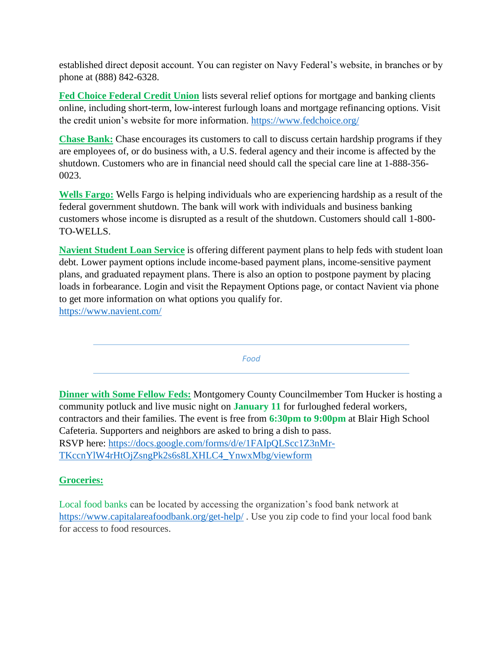established direct deposit account. You can register on Navy Federal's website, in branches or by phone at (888) 842-6328.

**Fed Choice Federal Credit Union** lists several relief options for mortgage and banking clients online, including short-term, low-interest furlough loans and mortgage refinancing options. Visit the credit union's website for more information.<https://www.fedchoice.org/>

**Chase Bank:** Chase encourages its customers to call to discuss certain hardship programs if they are employees of, or do business with, a U.S. federal agency and their income is affected by the shutdown. Customers who are in financial need should call the special care line at 1-888-356- 0023.

**Wells Fargo:** Wells Fargo is helping individuals who are experiencing hardship as a result of the federal government shutdown. The bank will work with individuals and business banking customers whose income is disrupted as a result of the shutdown. Customers should call 1-800- TO-WELLS.

**Navient Student Loan Service** is offering different payment plans to help feds with student loan debt. Lower payment options include income-based payment plans, income-sensitive payment plans, and graduated repayment plans. There is also an option to postpone payment by placing loads in forbearance. Login and visit the Repayment Options page, or contact Navient via phone to get more information on what options you qualify for. <https://www.navient.com/>

*Food*

**Dinner with Some Fellow Feds:** Montgomery County Councilmember Tom Hucker is hosting a community potluck and live music night on **January 11** for furloughed federal workers, contractors and their families. The event is free from **6:30pm to 9:00pm** at Blair High School Cafeteria. Supporters and neighbors are asked to bring a dish to pass. RSVP here: [https://docs.google.com/forms/d/e/1FAIpQLScc1Z3nMr-](https://docs.google.com/forms/d/e/1FAIpQLScc1Z3nMr-TKccnYlW4rHtOjZsngPk2s6s8LXHLC4_YnwxMbg/viewform)[TKccnYlW4rHtOjZsngPk2s6s8LXHLC4\\_YnwxMbg/viewform](https://docs.google.com/forms/d/e/1FAIpQLScc1Z3nMr-TKccnYlW4rHtOjZsngPk2s6s8LXHLC4_YnwxMbg/viewform)

## **Groceries:**

Local food banks can be located by accessing the organization's food bank network at <https://www.capitalareafoodbank.org/get-help/> . Use you zip code to find your local food bank for access to food resources.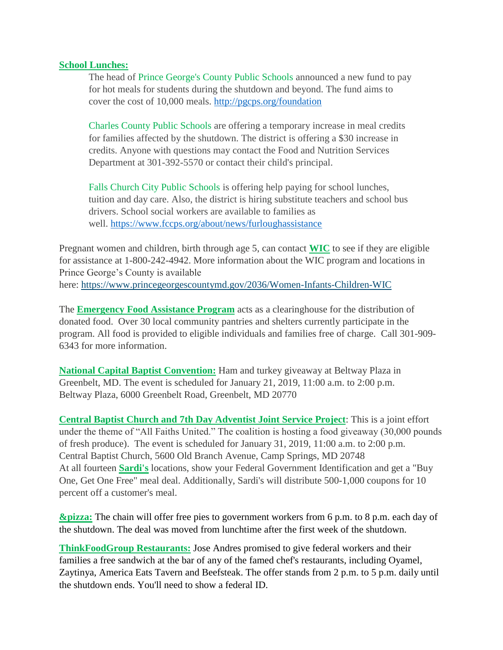### **School Lunches:**

The head of Prince George's County Public Schools announced a new fund to pay for hot meals for students during the shutdown and beyond. The fund aims to cover the cost of 10,000 meals.<http://pgcps.org/foundation>

Charles County Public Schools are offering a temporary increase in meal credits for families affected by the shutdown. The district is offering a \$30 increase in credits. Anyone with questions may contact the Food and Nutrition Services Department at 301-392-5570 or contact their child's principal.

Falls Church City Public Schools is offering help paying for school lunches, tuition and day care. Also, the district is hiring substitute teachers and school bus drivers. School social workers are available to families as well. <https://www.fccps.org/about/news/furloughassistance>

Pregnant women and children, birth through age 5, can contact **WIC** to see if they are eligible for assistance at 1-800-242-4942. More information about the WIC program and locations in Prince George's County is available here: <https://www.princegeorgescountymd.gov/2036/Women-Infants-Children-WIC>

The **Emergency Food Assistance Program** acts as a clearinghouse for the distribution of donated food. Over 30 local community pantries and shelters currently participate in the program. All food is provided to eligible individuals and families free of charge. Call 301-909- 6343 for more information.

**National Capital Baptist Convention:** Ham and turkey giveaway at Beltway Plaza in Greenbelt, MD. The event is scheduled for January 21, 2019, 11:00 a.m. to 2:00 p.m. Beltway Plaza, 6000 Greenbelt Road, Greenbelt, MD 20770

**Central Baptist Church and 7th Day Adventist Joint Service Project**: This is a joint effort under the theme of "All Faiths United." The coalition is hosting a food giveaway (30,000 pounds of fresh produce). The event is scheduled for January 31, 2019, 11:00 a.m. to 2:00 p.m. Central Baptist Church, 5600 Old Branch Avenue, Camp Springs, MD 20748 At all fourteen **Sardi's** locations, show your Federal Government Identification and get a "Buy One, Get One Free" meal deal. Additionally, Sardi's will distribute 500-1,000 coupons for 10 percent off a customer's meal.

**&pizza:** The chain will offer free pies to government workers from 6 p.m. to 8 p.m. each day of the shutdown. The deal was moved from lunchtime after the first week of the shutdown.

**ThinkFoodGroup Restaurants:** Jose Andres promised to give federal workers and their families a free sandwich at the bar of any of the famed chef's restaurants, including Oyamel, Zaytinya, America Eats Tavern and Beefsteak. The offer stands from 2 p.m. to 5 p.m. daily until the shutdown ends. You'll need to show a federal ID.